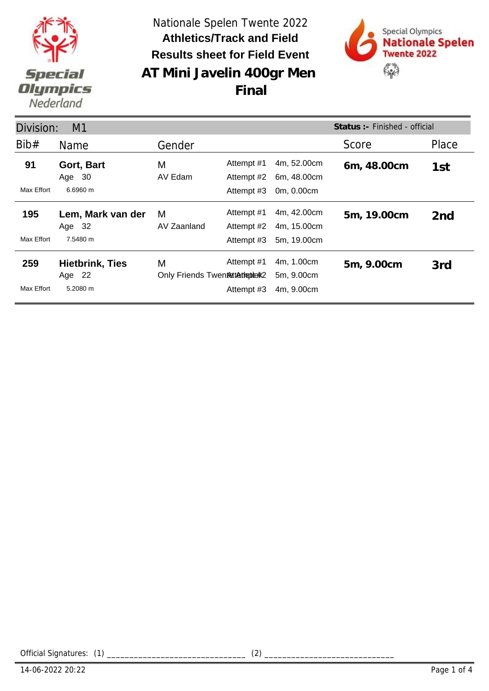

**AT Mini Javelin 400gr Men**  Nationale Spelen Twente 2022 **Results sheet for Field Event Athletics/Track and Field**



**Final**

| Status :- Finished - official<br>Division:<br>M1 |                                  |                                      |                          |                            |             |                 |
|--------------------------------------------------|----------------------------------|--------------------------------------|--------------------------|----------------------------|-------------|-----------------|
| Bib#                                             | Name                             | Gender                               |                          |                            | Score       | Place           |
| 91                                               | Gort, Bart<br>Age 30             | M<br>AV Edam                         | Attempt #1<br>Attempt #2 | 4m, 52.00cm<br>6m, 48.00cm | 6m, 48.00cm | 1st             |
| Max Effort                                       | 6.6960 m                         |                                      | Attempt #3               | 0m, 0.00cm                 |             |                 |
| 195                                              | Lem, Mark van der<br>Age 32      | M<br>AV Zaanland                     | Attempt #1<br>Attempt #2 | 4m, 42.00cm<br>4m, 15.00cm | 5m, 19.00cm | 2 <sub>nd</sub> |
| Max Effort                                       | 7.5480 m                         |                                      | Attempt #3               | 5m, 19.00cm                |             |                 |
| 259                                              | <b>Hietbrink, Ties</b><br>Age 22 | M<br>Only Friends Twentettethenterk2 | Attempt #1               | 4m, 1.00cm<br>5m, 9.00cm   | 5m, 9.00cm  | 3rd             |
| Max Effort                                       | $5.2080 \text{ m}$               |                                      | Attempt #3               | 4m, 9.00cm                 |             |                 |

Official Signatures: (1) \_\_\_\_\_\_\_\_\_\_\_\_\_\_\_\_\_\_\_\_\_\_\_\_\_\_\_\_\_\_\_ (2) \_\_\_\_\_\_\_\_\_\_\_\_\_\_\_\_\_\_\_\_\_\_\_\_\_\_\_\_\_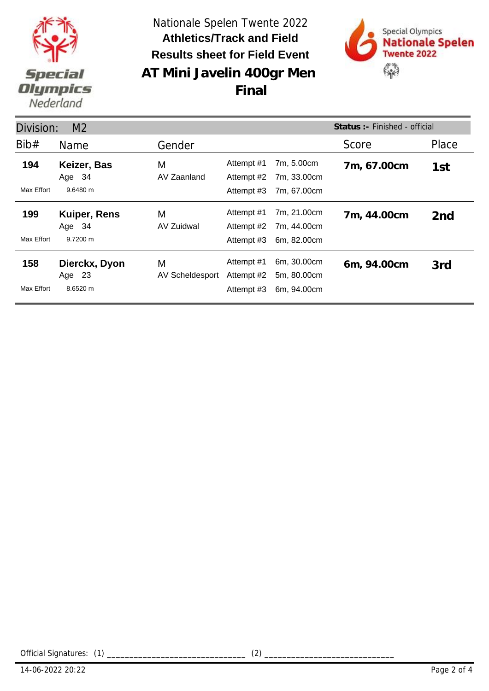

**AT Mini Javelin 400gr Men**  Nationale Spelen Twente 2022 **Results sheet for Field Event Athletics/Track and Field**



**Final**

| Status: - Finished - official<br>Division:<br>M <sub>2</sub> |                                           |                      |                                        |                                           |             |                 |
|--------------------------------------------------------------|-------------------------------------------|----------------------|----------------------------------------|-------------------------------------------|-------------|-----------------|
| Bib#                                                         | Name                                      | Gender               |                                        |                                           | Score       | Place           |
| 194<br>Max Effort                                            | Keizer, Bas<br>Age 34<br>9.6480 m         | M<br>AV Zaanland     | Attempt #1<br>Attempt #2<br>Attempt #3 | 7m, 5.00cm<br>7m, 33.00cm<br>7m, 67.00cm  | 7m, 67.00cm | 1st             |
| 199<br>Max Effort                                            | <b>Kuiper, Rens</b><br>Age 34<br>9.7200 m | M<br>AV Zuidwal      | Attempt #1<br>Attempt #2<br>Attempt #3 | 7m, 21.00cm<br>7m, 44.00cm<br>6m, 82.00cm | 7m, 44.00cm | 2 <sub>nd</sub> |
| 158<br>Max Effort                                            | Dierckx, Dyon<br>- 23<br>Age<br>8.6520 m  | M<br>AV Scheldesport | Attempt #1<br>Attempt #2<br>Attempt #3 | 6m, 30.00cm<br>5m, 80.00cm<br>6m, 94.00cm | 6m, 94.00cm | 3rd             |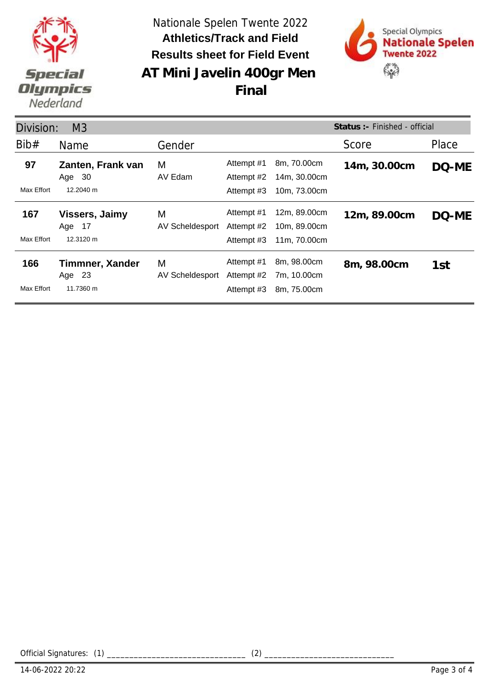

**AT Mini Javelin 400gr Men**  Nationale Spelen Twente 2022 **Results sheet for Field Event Athletics/Track and Field**

**Final**



Division: M3 Name Gender Gender Score Place **Status :-** Finished - official Bib# Gender **Zanten, Frank van 97 14m, 30.00cm** AV Edam Max Effort 12.2040 m Attempt #1 8m, 70.00cm 14m, 30.00cm DQ-ME<br>Attempt #2 14m, 30.00cm 14m, 30.00cm Attempt #3 10m, 73.00cm M Age 30 **Vissers, Jaimy** AV Scheldesport **167 Vissers, Jaimy** M Attempt #1 12m, 89.00cm 12m, 89.00cm DQ-ME Max Effort 12.3120 m Attempt #2 10m, 89.00cm Attempt #3 11m, 70.00cm M Age 17 **166 Timmner, Xander** M Attempt #1 8m, 98.00cm 8m, 98.00cm AV Scheldesport Max Effort 11.7360 m Attempt #1 8m, 98.00cm 8m, 98.00cm 1st<br>Attempt #2 7m, 10.00cm 7m, 10.00cm Attempt #3 8m, 75.00cm M Age 23

Official Signatures: (1) \_\_\_\_\_\_\_\_\_\_\_\_\_\_\_\_\_\_\_\_\_\_\_\_\_\_\_\_\_\_\_ (2) \_\_\_\_\_\_\_\_\_\_\_\_\_\_\_\_\_\_\_\_\_\_\_\_\_\_\_\_\_